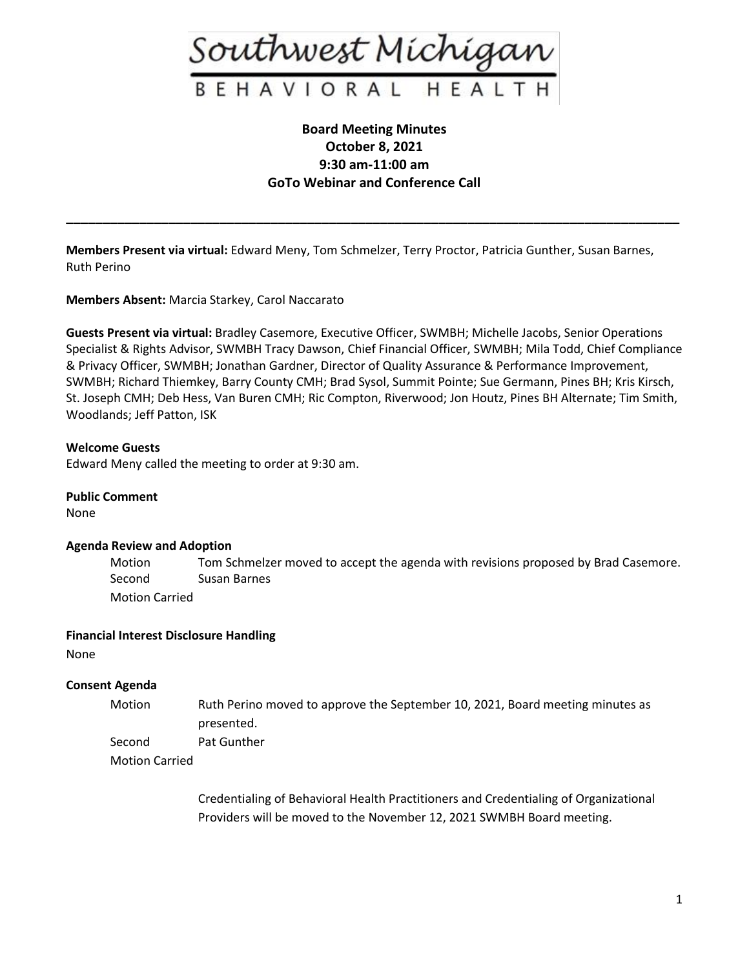

# **Board Meeting Minutes October 8, 2021 9:30 am-11:00 am GoTo Webinar and Conference Call**

**\_\_\_\_\_\_\_\_\_\_\_\_\_\_\_\_\_\_\_\_\_\_\_\_\_\_\_\_\_\_\_\_\_\_\_\_\_\_\_\_\_\_\_\_\_\_\_\_\_\_\_\_\_\_\_\_\_\_\_\_\_\_\_\_\_\_\_\_\_\_\_\_\_\_\_\_\_\_\_\_\_\_\_\_**

**Members Present via virtual:** Edward Meny, Tom Schmelzer, Terry Proctor, Patricia Gunther, Susan Barnes, Ruth Perino

**Members Absent:** Marcia Starkey, Carol Naccarato

**Guests Present via virtual:** Bradley Casemore, Executive Officer, SWMBH; Michelle Jacobs, Senior Operations Specialist & Rights Advisor, SWMBH Tracy Dawson, Chief Financial Officer, SWMBH; Mila Todd, Chief Compliance & Privacy Officer, SWMBH; Jonathan Gardner, Director of Quality Assurance & Performance Improvement, SWMBH; Richard Thiemkey, Barry County CMH; Brad Sysol, Summit Pointe; Sue Germann, Pines BH; Kris Kirsch, St. Joseph CMH; Deb Hess, Van Buren CMH; Ric Compton, Riverwood; Jon Houtz, Pines BH Alternate; Tim Smith, Woodlands; Jeff Patton, ISK

## **Welcome Guests**

Edward Meny called the meeting to order at 9:30 am.

#### **Public Comment**

None

#### **Agenda Review and Adoption**

Motion Tom Schmelzer moved to accept the agenda with revisions proposed by Brad Casemore. Second Susan Barnes Motion Carried

## **Financial Interest Disclosure Handling**

None

## **Consent Agenda**

- Motion Ruth Perino moved to approve the September 10, 2021, Board meeting minutes as presented. Second Pat Gunther
- 
- Motion Carried

Credentialing of Behavioral Health Practitioners and Credentialing of Organizational Providers will be moved to the November 12, 2021 SWMBH Board meeting.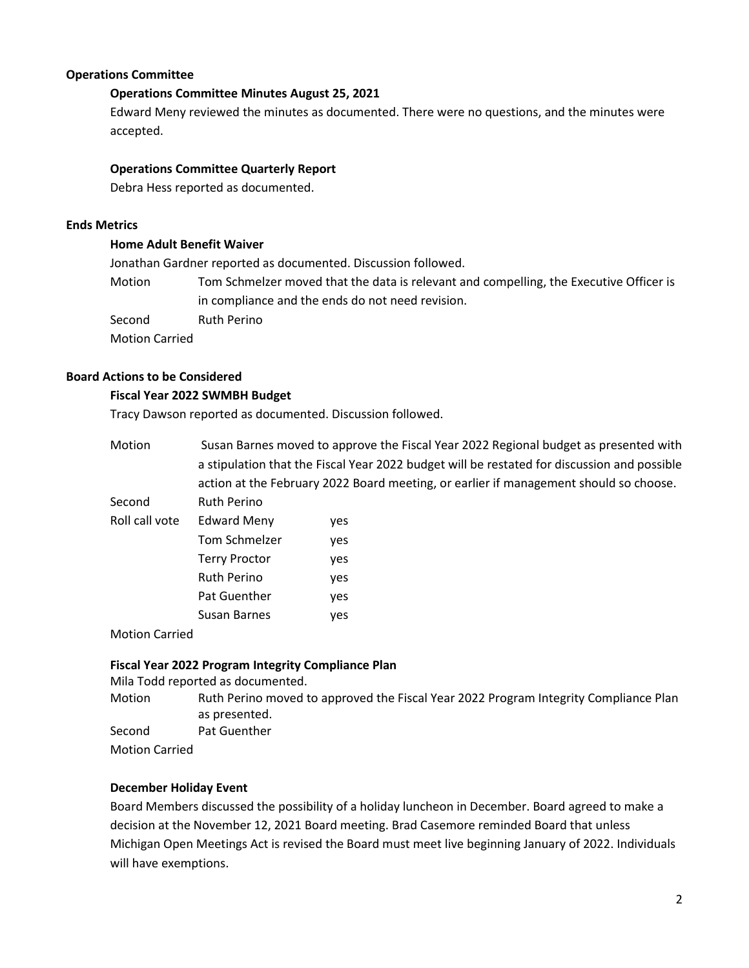## **Operations Committee**

## **Operations Committee Minutes August 25, 2021**

Edward Meny reviewed the minutes as documented. There were no questions, and the minutes were accepted.

## **Operations Committee Quarterly Report**

Debra Hess reported as documented.

#### **Ends Metrics**

#### **Home Adult Benefit Waiver**

Jonathan Gardner reported as documented. Discussion followed.

Motion Tom Schmelzer moved that the data is relevant and compelling, the Executive Officer is in compliance and the ends do not need revision.

Second Ruth Perino

Motion Carried

# **Board Actions to be Considered**

#### **Fiscal Year 2022 SWMBH Budget**

Tracy Dawson reported as documented. Discussion followed.

| Motion         | Susan Barnes moved to approve the Fiscal Year 2022 Regional budget as presented with        |     |
|----------------|---------------------------------------------------------------------------------------------|-----|
|                | a stipulation that the Fiscal Year 2022 budget will be restated for discussion and possible |     |
|                | action at the February 2022 Board meeting, or earlier if management should so choose.       |     |
| Second         | Ruth Perino                                                                                 |     |
| Roll call vote | <b>Edward Meny</b>                                                                          | yes |
|                | Tom Schmelzer                                                                               | yes |
|                | <b>Terry Proctor</b>                                                                        | yes |
|                | <b>Ruth Perino</b>                                                                          | yes |
|                | <b>Pat Guenther</b>                                                                         | yes |
|                | Susan Barnes                                                                                | yes |

Motion Carried

#### **Fiscal Year 2022 Program Integrity Compliance Plan**

Mila Todd reported as documented.

Motion Ruth Perino moved to approved the Fiscal Year 2022 Program Integrity Compliance Plan as presented.

Second Pat Guenther

Motion Carried

#### **December Holiday Event**

Board Members discussed the possibility of a holiday luncheon in December. Board agreed to make a decision at the November 12, 2021 Board meeting. Brad Casemore reminded Board that unless Michigan Open Meetings Act is revised the Board must meet live beginning January of 2022. Individuals will have exemptions.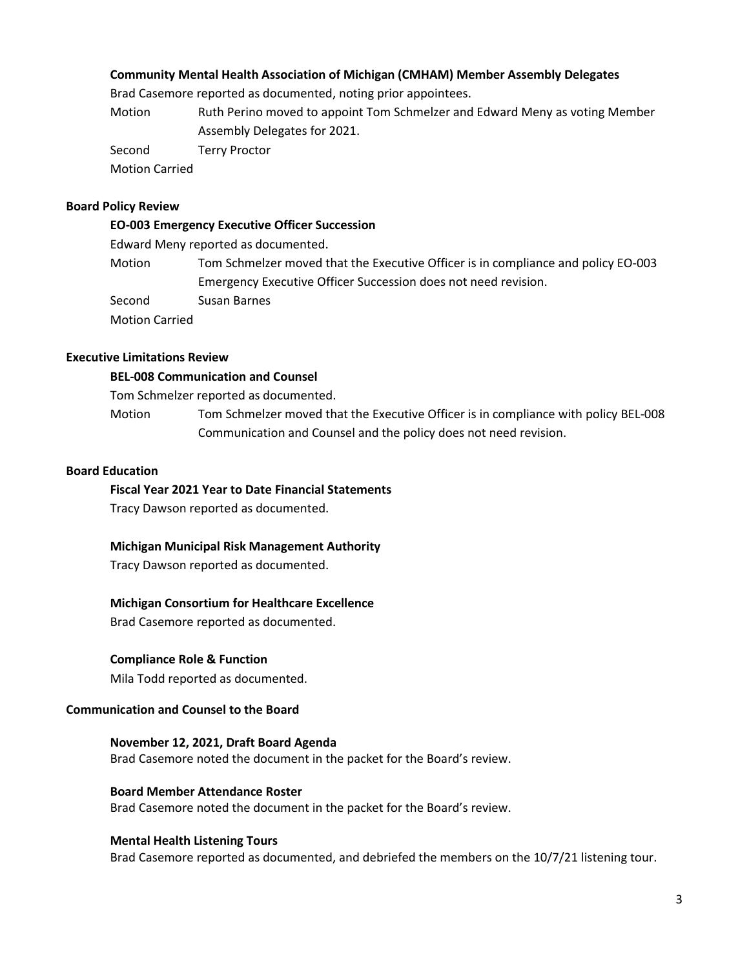## **Community Mental Health Association of Michigan (CMHAM) Member Assembly Delegates**

Brad Casemore reported as documented, noting prior appointees.

Motion Ruth Perino moved to appoint Tom Schmelzer and Edward Meny as voting Member Assembly Delegates for 2021.

Second Terry Proctor

Motion Carried

## **Board Policy Review**

## **EO-003 Emergency Executive Officer Succession**

Edward Meny reported as documented.

Motion Tom Schmelzer moved that the Executive Officer is in compliance and policy EO-003 Emergency Executive Officer Succession does not need revision. Second Susan Barnes

Motion Carried

## **Executive Limitations Review**

## **BEL-008 Communication and Counsel**

Tom Schmelzer reported as documented.

Motion Tom Schmelzer moved that the Executive Officer is in compliance with policy BEL-008 Communication and Counsel and the policy does not need revision.

## **Board Education**

#### **Fiscal Year 2021 Year to Date Financial Statements**

Tracy Dawson reported as documented.

## **Michigan Municipal Risk Management Authority**

Tracy Dawson reported as documented.

## **Michigan Consortium for Healthcare Excellence**

Brad Casemore reported as documented.

## **Compliance Role & Function**

Mila Todd reported as documented.

## **Communication and Counsel to the Board**

**November 12, 2021, Draft Board Agenda** Brad Casemore noted the document in the packet for the Board's review.

## **Board Member Attendance Roster**

Brad Casemore noted the document in the packet for the Board's review.

## **Mental Health Listening Tours**

Brad Casemore reported as documented, and debriefed the members on the 10/7/21 listening tour.